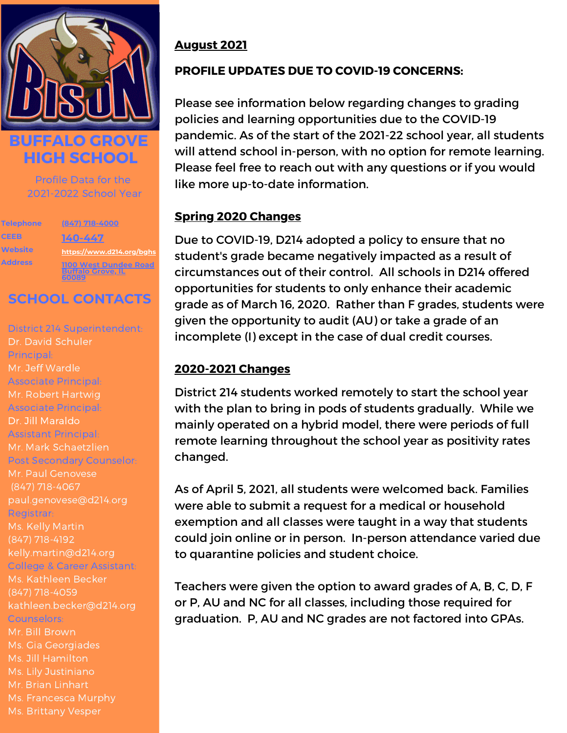

**BUFFALO GROVE HIGH SCHOOL**

> Profile Data for the 2021-2022 School Year

**Telephone CEEB Website Address**

**[\(847\)](https://www.d214.org/bghs) 718-[4000](https://www.d214.org/bghs) [140-447](https://www.d214.org/bghs) <https://www.d214.org/bghs> 1100 West [Dundee](https://www.d214.org/bghs) Road [Buffalo](https://www.d214.org/bghs) Grove, IL [60089](https://www.d214.org/bghs)**

### **SCHOOL CONTACTS**

District 214 Superintendent: Dr. David Schuler Principal: Mr. Jeff Wardle Associate Principal: Mr. Robert Hartwig Associate Principal: Dr. Jill Maraldo Assistant Principal: Mr. Mark Schaetzlien Post Secondary Counselor: Mr. Paul Genovese paul.genovese@d214.org Registrar: (847) 718-4192 kelly.martin@d214.org College & Career Assistant: Ms. Kathleen Becker (847) 718-4059 kathleen.becker@d214.org Counselors: Mr. Bill Brown Ms. Gia Georgiades Mr. Brian Linhart Ms. Francesca Murphy Ms. Brittany Vesper

#### **August 2021**

#### **PROFILE UPDATES DUE TO COVID-19 CONCERNS:**

Please see information below regarding changes to grading policies and learning opportunities due to the COVID-19 pandemic. As of the start of the 2021-22 school year, all students will attend school in-person, with no option for remote learning. Please feel free to reach out with any questions or if you would like more up-to-date information.

#### **Spring 2020 Changes**

Due to COVID-19, D214 adopted a policy to ensure that no student's grade became negatively impacted as a result of circumstances out of their control. All schools in D214 offered opportunities for students to only enhance their academic grade as of March 16, 2020. Rather than F grades, students were given the opportunity to audit (AU) or take a grade of an incomplete (I) except in the case of dual credit courses.

#### **2020-2021 Changes**

District 214 students worked remotely to start the school year with the plan to bring in pods of students gradually. While we mainly operated on a hybrid model, there were periods of full remote learning throughout the school year as positivity rates changed.

As of April 5, 2021, all students were welcomed back. Families were able to submit a request for a medical or household exemption and all classes were taught in a way that students could join online or in person. In-person attendance varied due to quarantine policies and student choice.

Teachers were given the option to award grades of A, B, C, D, F or P, AU and NC for all classes, including those required for graduation. P, AU and NC grades are not factored into GPAs.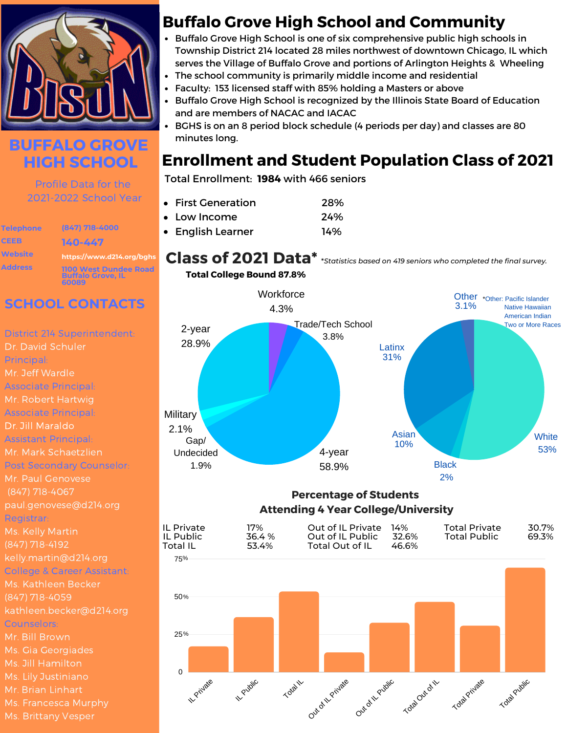

### **BUFFALO GROVE HIGH SCHOOL**

Profile Data for the 2021-2022 School Year

**Telephone CEEB Website Address**

**(847) 718-4000 140-447 https://www.d214.org/bghs 1100 West Dundee Road Buffalo Grove, IL 60089**

### **SCHOOL CONTACTS**

District 214 Superintendent: Dr. David Schuler Principal: Mr. Jeff Wardle Associate Principal: Mr. Robert Hartwig Associate Principal: Dr. Jill Maraldo Assistant Principal: Mr. Mark Schaetzlien Post Secondary Counselor: Mr. Paul Genovese (847) 718-4067 paul.genovese@d214.org Registrar: (847) 718-4192 kelly.martin@d214.org College & Career Assistant: Ms. Kathleen Becker (847) 718-4059 kathleen.becker@d214.org Counselors: Mr. Bill Brown Ms. Gia Georgiades Ms. Jill Hamilton Mr. Brian Linhart Ms. Brittany Vesper

### **Buffalo Grove High School and Community**

- **Buffalo Grove High School is one of six comprehensive public high schools in** Township District 214 located 28 miles northwest of downtown Chicago, IL which serves the Village of Buffalo Grove and portions of Arlington Heights & Wheeling
- The school community is primarily middle income and residential
- Faculty: 153 licensed staff with 85% holding a Masters or above
- Buffalo Grove High School is recognized by the Illinois State Board of Education and are members of NACAC and IACAC
- BGHS is on an 8 period block schedule (4 periods per day) and classes are 80 minutes long.

### **Enrollment and Student Population Class of 2021**

Total Enrollment: **1984** with 466 seniors

| • First Generation | 28% |
|--------------------|-----|
| • Low Income       | 24% |
| • English Learner  | 14% |





#### **Percentage of Students Attending 4 Year College/University**